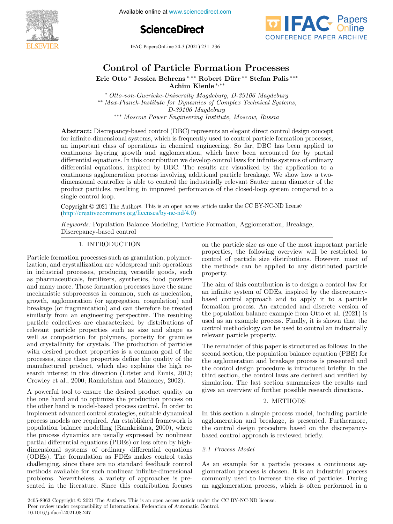

Available online at www.sciencedirect.com





IFAC PapersOnLine 54-3 (2021) 231–236  $C_1$  of  $C_2$  of  $P_1$  and  $P_2$  ( $\omega$ )  $\omega$   $\omega$   $\omega$ 

#### Eric Otto via Behrens ∗,∗∗∗ Robert Diversion via Behrens ∗∗ Stefan Palistica Beharens ∗∗∗ Control of Particle Formation Processes Control of Particle Formation Processes Control of Particle Formation Processes

Achim Kienle <sup>∗</sup>,∗∗ Eric Otto <sup>∗</sup> Jessica Behrens <sup>∗</sup>,∗∗ Robert D¨urr ∗∗ Stefan Palis ∗∗∗ Eric Otto \* Jessica Behrens \*,\*\* Robert Dürr \*\* Stefan Palis \*\*\* Achim Kienle <sup>∗</sup>,∗∗ Achim Kienle <sup>∗</sup>,∗∗ Achim Kienle <sup>∗</sup>,∗∗ Eric Otto <sup>∗</sup> Jessica Behrens <sup>∗</sup>,∗∗ Robert D¨urr ∗∗ Stefan Palis ∗∗∗ Eric Otto ∗ Jessica Behrens ∗,∗∗ Robert Dürr \*\* Stefan Palis \*\*\*

\* Otto-von-Guericke-University Magdeburg, D-39106 Magdeburg ∗∗ *Max-Planck-Institute for Dynamics of Complex Technical Systems,* ∗∗ *Max-Planck-Institute for Dynamics of Complex Technical Systems,* ∗ *Otto-von-Guericke-University Magdeburg, D-39106 Magdeburg* max-1 tanck-institute for Dynamics of Comptex Technical Systems,<br>D-39106 Magdeburg ∗∗∗ *Moscow Power Engineering Institute, Moscow, Russia* ∗∗∗ *Moscow Power Engineering Institute, Moscow, Russia D-39106 Magdeburg* <sup>2</sup> Max-Planck-Institute for Dynamics of Complex Technical Systems, <sup>21</sup> Moscow Power Engineering Institute, Moscow, Russia *D-39106 Magdeburg*

∗∗∗ *Moscow Power Engineering Institute, Moscow, Russia*

∗∗∗ *Moscow Power Engineering Institute, Moscow, Russia*

**ADStract:** Discrepancy-based control (DDC) represents an elegant direct control design concept<br>for infinite-dimensional systems, which is frequently used to control particle formation processes, of immediate complete to control particle formation processes,<br>an important class of operations in chemical engineering. So far, DBC has been applied to an important class of operations in chemical engineering. So far, DDC has been applied to<br>continuous layering growth and agglomeration, which have been accounted for by partial continuous layering growth and aggiomeration, which have been accounted for by partial<br>differential equations. In this contribution we develop control laws for infinite systems of ordinary differential equations. In this contribution we develop control laws for infinite systems of ordinary differential equations, inspired by DBC. The results are visualized by the application to a  $\epsilon$  continuous agglomeration process involving additional particle breakage. We show how a two- $\epsilon$ dimensional controller is able to control the industrially relevant Sauter mean diameter of the product particles, resulting in improved performance of the closed-loop system compared to a single control loop. continuous agglomeration process involving additional particle breakage. We show how a twoproduct particles, resulting in improved performance of the closed-loop system compared to a<br>single control loop **Abstract:** Discrepancy-based control (DBC) represents an elegant direct control design concept product particles, resulting in improved performance of the closed-loop system compared to a<br>single control loop. single control loop. for immediational systems, which is frequently used to control particle formation processes, an important class of operations in chemical engineering. So far, DBC has been applied to continuous layering growth and agglomeration, which have been accounted tor by partial  $\mathbb{R}^n$ control laws for infinite systems of ordinary<br>differential equations. In this contribution we develop control laws for infinite systems of ordinary differential equations, inspired by DBC. The results are visualized by the application to a continuous aggiomeration process involving additional particle breakage. We show now a twodimensional controller is able to control the industrially relevant Sauter mean diameter of the results are visually relevant Sauter mean diameter of the results are visually relevant satisfies are visually relevant to app

 $\frac{1}{2}$  contract  $\frac{1}{2}$  of  $\frac{1}{2}$ . The Authors. This is an open access article under the CC BY-NC-ND license  $(htip://creativecommons.org/licenses/by-nc-nd/4.0)$ *Keywords:* Population Balance Modeling, Particle Formation, Agglomeration, Breakage,  $\operatorname{Copyright} \otimes 2021$  Tr Copyright  $\odot$  2021 The Authors. This is an open access article under the CC BY-NC-ND license

Keywords: Population Balance Modeling, Particle Formation, Agglomeration, Breakage, Discrepancy-based control Discrepancy-based control Discrepancy-based control *Keywords:* Population Balance Modeling, Particle Formation, Agglomeration, Breakage, <u>1. International contract</u> on the particle size as one of the most important particle size as one of the most important particle size as Discrepancy-based control

#### 1. INTRODUCTION 1. INTRODUCTION 1. INTRODUCTION 1. INTRODUCTION 1. INTRODUCTION 1. INTRODUCTION

Particle formation processes such as granulation, polymerization, and crystallization are widespread unit operations in industrial processes, producing versatile goods, such as pharmaceuticals, fertilizers, synthetics, food powders and many more. Those formation processes have the same<br>mechanistic subprocesses in common, such as nucleation, and many more. Those formation processes have the same<br>mechanistic subprocesses in common, such as nucleation, growth, agglomeration (or aggregation, coagulation) and breakage (or fragmentation) and can therefore be treated similarly from an engineering perspective. The resulting particle collectives are characterized by distributions of relevant particle properties such as size and shape as well as composition for polymers, porosity for granules and crystallinity for crystals. The production of particles with desired product properties is a common goal of the processes, since these properties define the quality of the processes, since these properties define the quality of the<br>manufactured product, which also explains the high research interest in this direction (Litster and Ennis, 2013; Crowley et al., 2000; Ramkrishna and Mahoney, 2002). breakage (or fragmentation) and can therefore be treated similarly from an engineering perspective. The resulting particle collectives are characterized by distributions of well as composition for polymers, porosity for granules<br>and crystallinity for crystals. The production of particles<br>with desired product properties is a common goal of the<br>processes, since these properties define the quali  $\frac{1}{1}$ similarly from an engineering perspective. The resulting and crystallinity for crystals. The production of particles

A powerful tool to ensure the desired product quality on the one hand and to optimize the production process on the other hand is model-based process control. In order to the one hand and to optimize the production process on<br>the other hand is model-based process control. In order to<br>implement advanced control strategies, suitable dynamical process models are required. An established framework is process means are required. The existence mathematic is<br>population balance modelling (Ramkrishna, 2000), where the process dynamics are usually expressed by nonlinear population balance modelling (Ramkrishna, 2000), where<br>the process dynamics are usually expressed by nonlinear<br>partial differential equations (PDEs) or less often by highdimensional systems of ordinary differential equations (ODEs). The formulation as PDEs makes control tasks (ODEs). The formulation as PDEs makes control tasks<br>challenging, since there are no standard feedback control methods available for such nonlinear infinite-dimensional methods available for such nonlinear infinite-dimensional<br>problems. Nevertheless, a variety of approaches is presented in the literature. Since this contribution focuses A powerful tool to ensure the desired product quality on  $A$ sented in the literature. Since this contribution focuses  $\Lambda$ , normalist tool to angume the degined nuclear quelity on A powerful tool to ensure the desired product quality

 $\overline{\phantom{a}}$  the particle size as one of the most important particle size as one of the most important particle size  $\overline{\phantom{a}}$ on the particle size as one of the most important particle properties, the following overview will be restricted to control of particle size distributions. However, most of property. the methods can be applied to any distributed particle the methods can be applied to any distributed particle property.property. property. property. control of particle size distributions. However, most of the methods can be applied to any distributed particle property. the methods can be applied to any distributed particle  $\mu$  and  $\mu$ . property. on the particle size as one of the most important particle properties, the following overview will be restricted to control of particle size distributions. However, most of the methods can be applied to any distributed particle property.

The aim of this contribution is to design a control law for The aim of this contribution is to design a control law for<br> $\frac{1}{2}$ . an infinite system of ODEs, inspired by the discrepancyan infinite system of ODEs, inspired by the usercepancy-<br>based control approach and to apply it to a particle based control approach and to apply it to a particle<br>formation process. An extended and discrete version of the population balance example from Otto et al. (2021) is  $\alpha$  and  $\alpha$  and  $\alpha$  and  $\alpha$  and  $\alpha$  and  $\alpha$  and  $\alpha$  and  $\alpha$  and  $\alpha$  and  $\alpha$  and  $\alpha$  and  $\alpha$  and  $\alpha$  and  $\alpha$  and  $\alpha$  and  $\alpha$  and  $\alpha$  and  $\alpha$  and  $\alpha$  and  $\alpha$  and  $\alpha$  and  $\alpha$  and  $\alpha$  and  $\alpha$  and  $\alpha$  control methodology can be used to control an industrially relevant particle property. relevant particle property. control methodology can be used to control an industrially relevant particle property. relevant particle property. The aim of this contribution is to design a control law for an infinite system of ODEs, inspired by the discrepancybased control approach and to apply it to a particle formation process. An extended and discrete version of the population balance example from Otto et al.  $(2021)$  is relevant particle property.

 $T$  remainder of the remainder of the remainder is structured as follows: In the structure as follows: In the structure  $T$ The remainder of this paper is structured as follows: In the second section, the population balance equation (PBE) for<br>the section, the population balance equation (PBE) for the agglomeration and breakage process is presented and the aggromeration and breakage process is presented and third section, the control laws are derived and verified by third section, the control laws are derived and verified by<br>simulation. The last section summarizes the results and simulation. The last section summarizes the results and<br>gives an overview of further possible research directions. gives an overview of further possible research directions. simulation. The last section summarizes the results and The remainder of this paper is structured as follows: In the the control design procedure is introduced briefly. In the gives an overview of further possible research directions.

#### 2. METHODS 2. METHODS 2. METHODS 2. METHODS 2. METHODS

In this section a simple process model, including particle In this section a simple process model, including particle in the section a simple process model, including particle the control design procedure based on the discrepancybased control approach is reviewed briefly. based control approach is reviewed briefly. In this section a simple process model, including particle

# *2.1 Process Model 2.1 Process Model 2.1 Process Model* 2.1 Process Model

As an example for a particle process a continuous ag-As an example for a particle process a continuous agrefer to the process is chosen. It is an industrial process commonly used to increase the size of particles. During an agglomeration process, which is often performed in a and  $\alpha$  agglomeration process, which is often performed in a set  $\mathbf{r}$ As an example for a particle process a continuous ag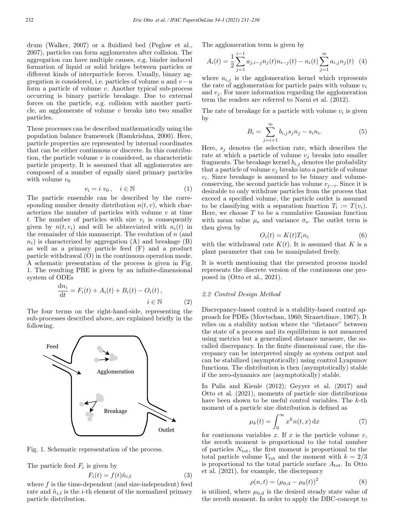drum (Walker, 2007) or a fluidized bed (Peglow et al., 2007), particles can form agglomerates after collision. The aggregation can have multiple causes, e.g. binder induced formation of liquid or solid bridges between particles or different kinds of interparticle forces. Usually, binary aggregation is considered, i.e. particles of volume u and  $v-u$ form a particle of volume  $v$ . Another typical sub-process occurring is binary particle breakage. Due to external forces on the particle, e.g. collision with another particle, an agglomerate of volume  $v$  breaks into two smaller particles.

These processes can be described mathematically using the population balance framework (Ramkrishna, 2000). Here, particle properties are represented by internal coordinates that can be either continuous or discrete. In this contribution, the particle volume  $v$  is considered, as characteristic particle property. It is assumed that all agglomerates are composed of a number of equally sized primary particles with volume  $v_0$ 

$$
v_i = i v_0, \quad i \in \mathbb{N} \tag{1}
$$

The particle ensemble can be described by the corresponding number density distribution  $n(t, v)$ , which characterizes the number of particles with volume  $v$  at time t. The number of particles with size  $v_i$  is consequently given by  $n(t, v_i)$  and will be abbreviated with  $n_i(t)$  in the remainder of this manuscript. The evolution of  $n$  (and  $n_i$ ) is characterized by aggregation (A) and breakage (B) as well as a primary particle feed (F) and a product particle withdrawal (O) in the continuous operation mode. A schematic presentation of the process is given in Fig. 1. The resulting PBE is given by an infinite-dimensional system of ODEs

$$
\frac{dn_i}{dt} = F_i(t) + A_i(t) + B_i(t) - O_i(t),
$$
  
 $i \in \mathbb{N}$  (2)

The four terms on the right-hand-side, representing the sub-processes described above, are explained briefly in the following.



Fig. 1. Schematic representation of the process.

The particle feed  $F_i$  is given by

$$
F_i(t) = f(t)\tilde{n}_{i,\text{f}}\tag{3}
$$

where  $f$  is the time-dependent (and size-independent) feed rate and  $\tilde{n}_{i,f}$  is the *i*-th element of the normalized primary particle distribution.

The agglomeration term is given by

$$
A_i(t) = \frac{1}{2} \sum_{j=1}^{i-1} a_{j,i-j} n_j(t) n_{i-j}(t) - n_i(t) \sum_{j=1}^{\infty} a_{i,j} n_j(t) \tag{4}
$$

where  $a_{i,j}$  is the agglomeration kernel which represents the rate of agglomeration for particle pairs with volume  $v_i$ and  $v_i$ . For more information regarding the agglomeration term the readers are referred to Narni et al. (2012).

The rate of breakage for a particle with volume  $v_i$  is given by

$$
B_i = \sum_{j=i+1}^{\infty} b_{i,j} s_j n_j - s_i n_i.
$$
 (5)

Here,  $s_i$  denotes the selection rate, which describes the rate at which a particle of volume  $v_j$  breaks into smaller fragments. The breakage kernel  $b_{i,j}$  denotes the probability that a particle of volume  $v_j$  breaks into a particle of volume  $v_i$ . Since breakage is assumed to be binary and volumeconserving, the second particle has volume  $v_{i-i}$ . Since it is desirable to only withdraw particles from the process that exceed a specified volume, the particle outlet is assumed to be classifying with a separation function  $T_i := T(v_i)$ . Here, we choose  $T$  to be a cumulative Gaussian function with mean value  $\mu_s$  and variance  $\sigma_s$ . The outlet term is then given by

$$
O_i(t) = K(t)T_i n_i \tag{6}
$$

with the withdrawal rate  $K(t)$ . It is assumed that K is a plant parameter that can be manipulated freely.

It is worth mentioning that the presented process model represents the discrete version of the continuous one proposed in (Otto et al., 2021).

## *2.2 Control Design Method*

Discrepancy-based control is a stability-based control approach for PDEs (Movtschan, 1960; Sirazetdinov, 1967). It relies on a stability notion where the "distance" between the state of a process and its equilibrium is not measured using metrics but a generalized distance measure, the socalled discrepancy. In the finite dimensional case, the discrepancy can be interpreted simply as system output and can be stabilized (asymptotically) using control Lyapunov functions. The distribution is then (asymptotically) stable if the zero-dynamics are (asymptotically) stable.

In Palis and Kienle (2012); Geyyer et al. (2017) and Otto et al. (2021), moments of particle size distributions have been shown to be useful control variables. The k-th moment of a particle size distribution is defined as

$$
\mu_k(t) = \int_0^\infty x^k n(t, x) \, \mathrm{d}x \tag{7}
$$

for continuous variables x. If x is the particle volume  $v$ , the zeroth moment is proportional to the total number of particles  $N_{\text{tot}}$ , the first moment is proportional to the total particle volume  $V_{\text{tot}}$  and the moment with  $k = 2/3$ is proportional to the total particle surface  $A_{\text{tot}}$ . In Otto et al. (2021), for example, the discrepancy

$$
\rho(n,t) = (\mu_{0,d} - \mu_0(t))^2
$$
\n(8)

is utilized, where  $\mu_{0,d}$  is the desired steady state value of the zeroth moment. In order to apply the DBC-concept to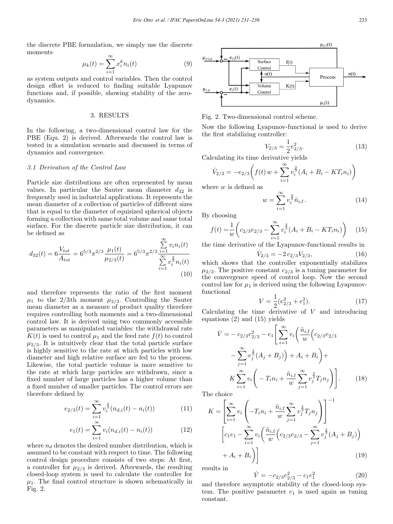the discrete PBE formulation, we simply use the discrete moments

$$
\mu_k(t) = \sum_{i=1}^{\infty} x_i^k n_i(t) \tag{9}
$$

as system outputs and control variables. Then the control design effort is reduced to finding suitable Lyapunov functions and, if possible, showing stability of the zerodynamics.

# 3. RESULTS

In the following, a two-dimensional control law for the PBE (Equ. 2) is derived. Afterwards the control law is tested in a simulation scenario and discussed in terms of dynamics and convergence.

## *3.1 Derivation of the Control Law*

Particle size distributions are often represented by mean values. In particular the Sauter mean diameter  $d_{32}$  is frequently used in industrial applications. It represents the mean diameter of a collection of particles of different sizes that is equal to the diameter of equisized spherical objects forming a collection with same total volume and same total surface. For the discrete particle size distribution, it can be defined as

$$
d_{32}(t) = 6 \frac{V_{tot}}{A_{tot}} = 6^{5/3} \pi^{2/3} \frac{\mu_1(t)}{\mu_{2/3}(t)} = 6^{5/3} \pi^{2/3} \frac{\sum_{i=1}^{\infty} v_i n_i(t)}{\sum_{i=1}^{\infty} v_i^{\frac{2}{3}} n_i(t)}
$$
(10)

and therefore represents the ratio of the first moment  $\mu_1$  to the 2/3th moment  $\mu_{2/3}$ . Controlling the Sauter mean diameter as a measure of product quality therefore requires controlling both moments and a two-dimensional control law. It is derived using two commonly accessible parameters as manipulated variables: the withdrawal rate  $K(t)$  is used to control  $\mu_1$  and the feed rate  $f(t)$  to control  $\mu_{2/3}$ . It is intuitively clear that the total particle surface is highly sensitive to the rate at which particles with low diameter and high relative surface are fed to the process. Likewise, the total particle volume is more sensitive to the rate at which large particles are withdrawn, since a fixed number of large particles has a higher volume than a fixed number of smaller particles. The control errors are therefore defined by

$$
e_{2/3}(t) = \sum_{i=1}^{\infty} v_i^{\frac{2}{3}} (n_{d,i}(t) - n_i(t))
$$
 (11)

$$
e_1(t) = \sum_{i=1}^{\infty} v_i(n_{d,i}(t) - n_i(t))
$$
\n(12)

where  $n_d$  denotes the desired number distribution, which is assumed to be constant with respect to time. The following control design procedure consists of two steps: At first, a controller for  $\mu_{2/3}$  is derived. Afterwards, the resulting closed-loop system is used to calculate the controller for  $\mu_1$ . The final control structure is shown schematically in Fig. 2.



Fig. 2. Two-dimensional control scheme.

Now the following Lyapunov-functional is used to derive the first stabilizing controller:

$$
V_{2/3} = \frac{1}{2} e_{2/3}^2. \tag{13}
$$

Calculating its time derivative yields

$$
\dot{V}_{2/3} = -e_{2/3} \left( f(t) w + \sum_{i=1}^{\infty} v_i^{\frac{2}{3}} (A_i + B_i - KT_i n_i) \right)
$$

where  $w$  is defined as

$$
w = \sum_{i=1}^{\infty} v_i^{\frac{2}{3}} \tilde{n}_{i, \text{f}}.
$$
 (14)

By choosing

$$
f(t) = \frac{1}{w} \left( c_{2/3} e_{2/3} - \sum_{i=1}^{\infty} v_i^{\frac{2}{3}} (A_i + B_i - KT_i n_i) \right)
$$
 (15)

the time derivative of the Lyapunov-functional results in

$$
\dot{V}_{2/3} = -2 c_{2/3} V_{2/3},\tag{16}
$$

which shows that the controller exponentially stabilizes  $\mu_{2/3}$ . The positive constant  $c_{2/3}$  is a tuning parameter for the convergence speed of control loop. Now the second control law for  $\mu_1$  is derived using the following Lyapunovfunctional

$$
V = \frac{1}{2}(e_{2/3}^2 + e_1^2). \tag{17}
$$

Calculating the time derivative of  $V$  and introducing equations (2) and (15) yields

$$
\dot{V} = -c_{2/3}e_{2/3}^{2} - e_{1} \left[ \sum_{i=1}^{\infty} v_{i} \left( \frac{\tilde{n}_{i,\text{f}}}{w} \left( c_{2/3}e_{2/3} \right) - \sum_{j=1}^{\infty} v_{j}^{\frac{2}{3}} (A_{j} + B_{j}) \right) + A_{i} + B_{i} \right) + \nK \sum_{i=1}^{\infty} v_{i} \left( -T_{i}n_{i} + \frac{\tilde{n}_{i,\text{f}}}{w} \sum_{j=1}^{\infty} v_{j}^{\frac{2}{3}} T_{j} n_{j} \right).
$$
\n(18)

The choice

$$
K = \left[\sum_{i=1}^{\infty} v_i \left( -T_i n_i + \frac{\tilde{n}_{i,\text{f}}}{w} \sum_{j=1}^{\infty} v_j^{\frac{2}{3}} T_j n_j \right) \right]^{-1}
$$

$$
\left[ c_1 e_1 - \sum_{i=1}^{\infty} v_i \left( \frac{\tilde{n}_{i,\text{f}}}{w} \left( c_{2/3} e_{2/3} - \sum_{j=1}^{\infty} v_j^{\frac{2}{3}} (A_j + B_j) \right) + A_i + B_i \right) \right]
$$
(19)

results in

$$
\dot{V} = -c_{2/3}e_{2/3}^2 - c_1e_1^2 \tag{20}
$$

and therefore asymptotic stability of the closed-loop system. The positive parameter  $c_1$  is used again as tuning constant.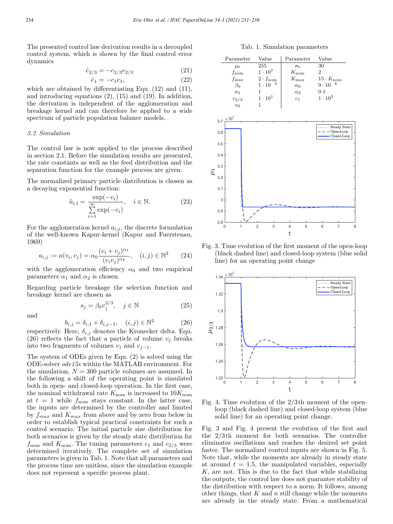The presented control law derivation results in a decoupled control system, which is shown by the final control error dynamics

$$
\dot{e}_{2/3} = -c_{2/3} e_{2/3} \tag{21}
$$

$$
\dot{e}_1 = -c_1 e_1,\tag{22}
$$

which are obtained by differentiating Equ. (12) and (11), and introducing equations (2), (15) and (19). In addition, the derivation is independent of the agglomeration and breakage kernel and can therefore be applied to a wide spectrum of particle population balance models.

# *3.2 Simulation*

The control law is now applied to the process described in section 2.1. Before the simulation results are presented, the rate constants as well as the feed distribution and the separation function for the example process are given.

The normalized primary particle distribution is chosen as a decaying exponential function:

$$
\tilde{n}_{i,\mathrm{f}} = \frac{\exp(-v_i)}{\sum_{i=1}^{\infty} \exp(-v_i)}, \quad i \in \mathbb{N}.
$$
 (23)

For the agglomeration kernel  $a_{i,j}$ , the discrete formulation of the well-known Kapur-kernel (Kapur and Fuerstenau, 1969)

$$
a_{i,j} := a(v_i, v_j) = \alpha_0 \frac{(v_i + v_j)^{\alpha_1}}{(v_i v_j)^{\alpha_2}}, \quad (i,j) \in \mathbb{N}^2 \tag{24}
$$

with the agglomeration efficiency  $\alpha_0$  and two empirical parameters  $\alpha_1$  and  $\alpha_2$  is chosen.

Regarding particle breakage the selection function and breakage kernel are chosen as

and

$$
s_j = \beta_0 v_j^{2/3}, \quad j \in \mathbb{N} \tag{25}
$$

$$
b_{i,j} = \delta_{i,1} + \delta_{i,j-1}, \quad (i,j) \in \mathbb{N}^2
$$
 (26)

respectively. Here,  $\delta_{i,j}$  denotes the Kronecker delta. Equ. (26) reflects the fact that a particle of volume  $v_i$  breaks into two fragments of volumes  $v_1$  and  $v_{j-1}$ .

The system of ODEs given by Equ. (2) is solved using the ODE-solver *ode15s* within the MATLAB environment. For the simulation,  $N = 300$  particle volumes are assumed. In the following a shift of the operating point is simulated both in open- and closed-loop operation. In the first case, the nominal withdrawal rate  $K_{\text{nom}}$  is increased to  $10K_{\text{nom}}$ at  $t = 1$  while  $f_{\text{nom}}$  stays constant. In the latter case, the inputs are determined by the controller and limited by  $f_{max}$  and  $K_{max}$  from above and by zero from below in order to establish typical practical constraints for such a control scenario. The initial particle size distribution for both scenarios is given by the steady state distribution for  $f_{\text{nom}}$  and  $K_{\text{nom}}$ . The tuning parameters  $c_1$  and  $c_{2/3}$  were determined iteratively. The complete set of simulation parameters is given in Tab. 1. Note that all parameters and the process time are unitless, since the simulation example does not represent a specific process plant.

Tab. 1. Simulation parameters

| Parameter     | Value                    | Parameter             | Value                     |
|---------------|--------------------------|-----------------------|---------------------------|
| $\mu_{\rm s}$ | 255                      | $\sigma_{\rm s}$      | 30                        |
| $f_{\rm nom}$ | $1 \cdot 10^{7}$         | $K_{\text{nom}}$      |                           |
| $f_{\rm max}$ | $2 \cdot f_{\text{nom}}$ | $K_{\rm max}$         | $15 \cdot K_{\text{nom}}$ |
| $\beta_0$     | $1 \cdot 10$<br>- 5      | $\alpha_0$            | - 8<br>$9 \cdot 10$       |
| $\alpha_1$    |                          | $\alpha$ <sub>2</sub> | 0.1                       |
| $c_{2/3}$     | $1\cdot 10^1$            | c <sub>1</sub>        | $1 \cdot 10^5$            |
| $v_0$         |                          |                       |                           |



Fig. 3. Time evolution of the first moment of the open-loop (black dashed line) and closed-loop system (blue solid line) for an operating point change



Fig. 4. Time evolution of the 2/3th moment of the openloop (black dashed line) and closed-loop system (blue solid line) for an operating point change.

Fig. 3 and Fig. 4 present the evolution of the first and the 2/3th moment for both scenarios. The controller eliminates oscillations and reaches the desired set point faster. The normalized control inputs are shown in Fig. 5. Note that, while the moments are already in steady state at around  $t = 1.5$ , the manipulated variables, especially  $K$ , are not. This is due to the fact that while stabilizing the outputs, the control law does not guarantee stability of the distribution with respect to a norm. It follows, among other things, that  $K$  and  $n$  still change while the moments are already in the steady state. From a mathematical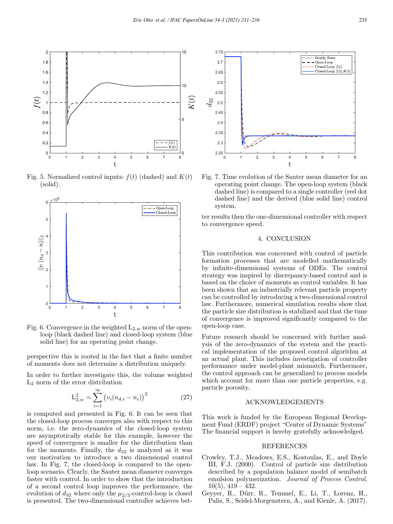

Fig. 5. Normalized control inputs:  $f(t)$  (dashed) and  $K(t)$ (solid).



Fig. 6. Convergence in the weighted  $L_{2,w}$  norm of the openloop (black dashed line) and closed-loop system (blue solid line) for an operating point change.

perspective this is rooted in the fact that a finite number of moments does not determine a distribution uniquely.

In order to further investigate this, the volume weighted L<sup>2</sup> norm of the error distribution

$$
L_{2,w}^2 = \sum_{i=1}^{\infty} (v_i (n_{d,i} - n_i))^2
$$
 (27)

is computed and presented in Fig. 6. It can be seen that the closed-loop process converges also with respect to this norm, i.e. the zero-dynamics of the closed-loop system are asymptotically stable for this example, however the speed of convergence is smaller for the distribution than for the moments. Finally, the  $d_{32}$  is analyzed as it was our motivation to introduce a two dimensional control law. In Fig. 7, the closed-loop is compared to the openloop scenario. Clearly, the Sauter mean diameter converges faster with control. In order to show that the introduction of a second control loop improves the performance, the evolution of  $d_{32}$  where only the  $\mu_{2/3}$ -control-loop is closed is presented. The two-dimensional controller achieves bet-



Fig. 7. Time evolution of the Sauter mean diameter for an operating point change. The open-loop system (black dashed line) is compared to a single controller (red dot dashed line) and the derived (blue solid line) control system.

ter results then the one-dimensional controller with respect to convergence speed.

## 4. CONCLUSION

This contribution was concerned with control of particle formation processes that are modelled mathematically by infinite-dimensional systems of ODEs. The control strategy was inspired by discrepancy-based control and is based on the choice of moments as control variables. It has been shown that an industrially relevant particle property can be controlled by introducing a two-dimensional control law. Furthermore, numerical simulation results show that the particle size distribution is stabilized and that the time of convergence is improved significantly compared to the open-loop case.

Future research should be concerned with further analysis of the zero-dynamics of the system and the practical implementation of the proposed control algorithm at an actual plant. This includes investigation of controller performance under model-plant mismatch. Furthermore, the control approach can be generalized to process models which account for more than one particle properties, e.g. particle porosity.

# ACKNOWLEDGEMENTS

This work is funded by the European Regional Development Fund (ERDF) project "Center of Dynamic Systems" The financial support is hereby gratefully acknowledged.

### REFERENCES

- Crowley, T.J., Meadows, E.S., Kostoulas, E., and Doyle III, F.J. (2000). Control of particle size distribution described by a population balance model of semibatch emulsion polymerization. *Journal of Process Control*,  $10(5)$ ,  $419 - 432$ .
- Geyyer, R., Dürr, R., Temmel, E., Li, T., Lorenz, H., Palis, S., Seidel-Morgenstern, A., and Kienle, A. (2017).